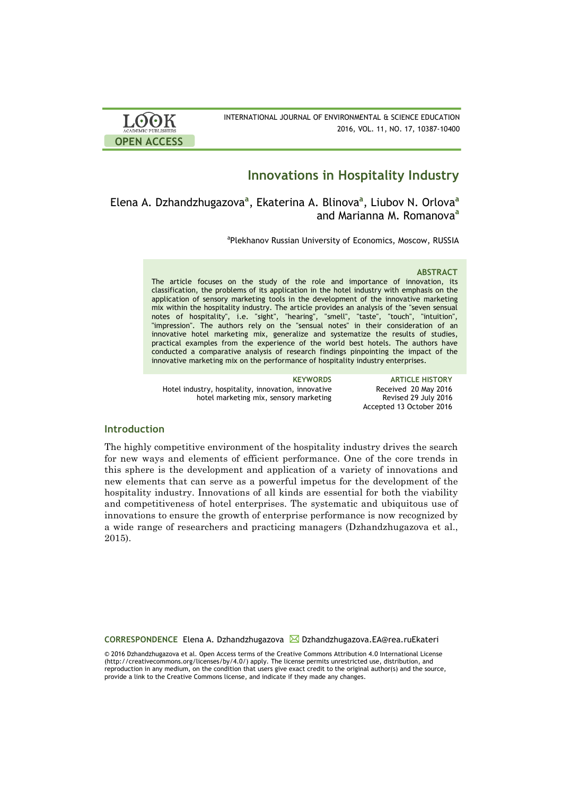

# **Innovations in Hospitality Industry**

Elena A. Dzhandzhugazova**<sup>a</sup>** , Ekaterina A. Blinova**<sup>a</sup>** , Liubov N. Orlova**<sup>a</sup>** and Marianna M. Romanova**<sup>a</sup>**

<sup>a</sup>Plekhanov Russian University of Economics, Moscow, RUSSIA

### **ABSTRACT**

The article focuses on the study of the role and importance of innovation, its classification, the problems of its application in the hotel industry with emphasis on the application of sensory marketing tools in the development of the innovative marketing mix within the hospitality industry. The article provides an analysis of the "seven sensual notes of hospitality", i.e. "sight", "hearing", "smell", "taste", "touch", "intuition", "impression". The authors rely on the "sensual notes" in their consideration of an innovative hotel marketing mix, generalize and systematize the results of studies, practical examples from the experience of the world best hotels. The authors have conducted a comparative analysis of research findings pinpointing the impact of the innovative marketing mix on the performance of hospitality industry enterprises.

Hotel industry, hospitality, innovation, innovative hotel marketing mix, sensory marketing

**KEYWORDS ARTICLE HISTORY** Received 20 May 2016 Revised 29 July 2016 Accepted 13 October 2016

## **Introduction**

The highly competitive environment of the hospitality industry drives the search for new ways and elements of efficient performance. One of the core trends in this sphere is the development and application of a variety of innovations and new elements that can serve as a powerful impetus for the development of the hospitality industry. Innovations of all kinds are essential for both the viability and competitiveness of hotel enterprises. The systematic and ubiquitous use of innovations to ensure the growth of enterprise performance is now recognized by a wide range of researchers and practicing managers (Dzhandzhugazova et al., 2015).

**CORRESPONDENCE** Elena A. Dzhandzhugazova Dzhandzhugazova.EA@rea.ruEkateri

© 2016 Dzhandzhugazova et al. Open Access terms of the Creative Commons Attribution 4.0 International License (http://creativecommons.org/licenses/by/4.0/) apply. The license permits unrestricted use, distribution, and reproduction in any medium, on the condition that users give exact credit to the original author(s) and the source, provide a link to the Creative Commons license, and indicate if they made any changes.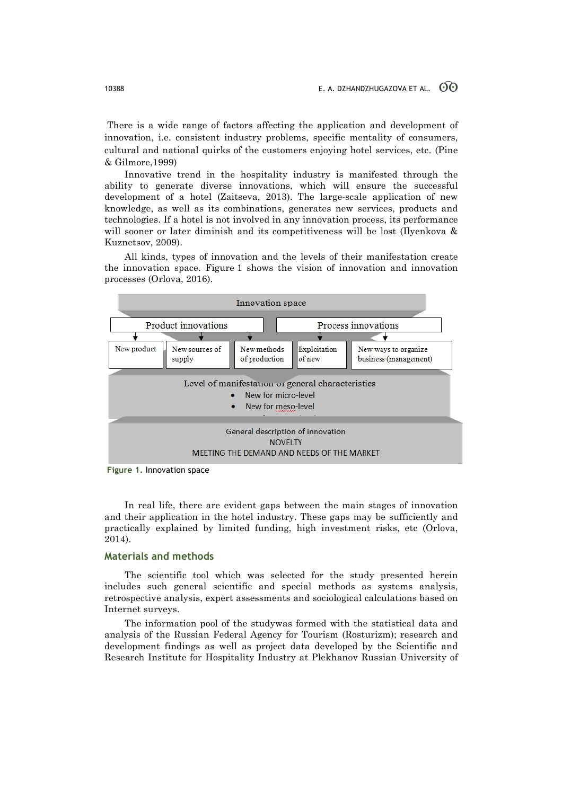There is a wide range of factors affecting the application and development of innovation, i.e. consistent industry problems, specific mentality of consumers, cultural and national quirks of the customers enjoying hotel services, etc. (Pine & Gilmore,1999)

Innovative trend in the hospitality industry is manifested through the ability to generate diverse innovations, which will ensure the successful development of a hotel (Zaitseva, 2013). The large-scale application of new knowledge, as well as its combinations, generates new services, products and technologies. If a hotel is not involved in any innovation process, its performance will sooner or later diminish and its competitiveness will be lost (Ilyenkova & Kuznetsov, 2009).

All kinds, types of innovation and the levels of their manifestation create the innovation space. Figure 1 shows the vision of innovation and innovation processes (Orlova, 2016).



**Figure 1.** Innovation space

In real life, there are evident gaps between the main stages of innovation and their application in the hotel industry. These gaps may be sufficiently and practically explained by limited funding, high investment risks, etc (Orlova, 2014).

### **Materials and methods**

The scientific tool which was selected for the study presented herein includes such general scientific and special methods as systems analysis, retrospective analysis, expert assessments and sociological calculations based on Internet surveys.

The information pool of the studywas formed with the statistical data and analysis of the Russian Federal Agency for Tourism (Rosturizm); research and development findings as well as project data developed by the Scientific and Research Institute for Hospitality Industry at Plekhanov Russian University of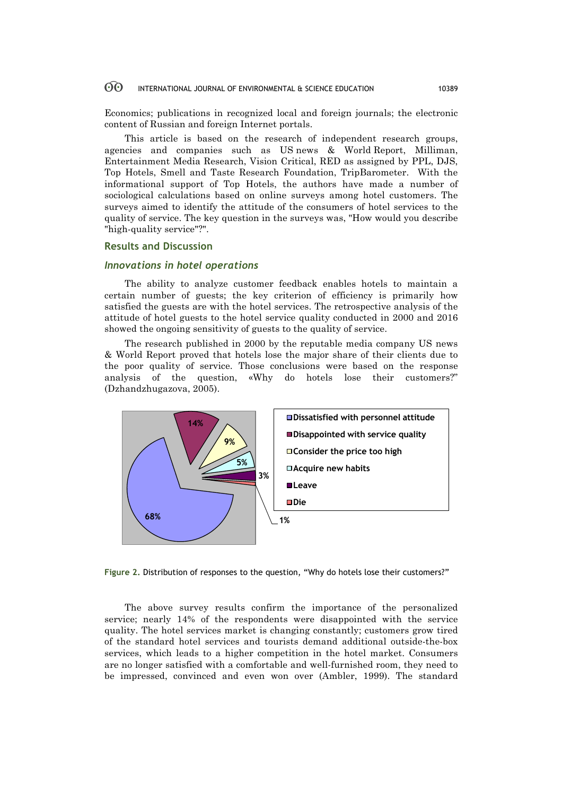Economics; publications in recognized local and foreign journals; the electronic content of Russian and foreign Internet portals.

This article is based on the research of independent research groups, agencies and companies such as US news & World Report, Milliman, Entertainment Media Research, Vision Critical, RED as assigned by PPL, DJS, Top Hotels, Smell and Taste Research Foundation, TripBarometer. With the informational support of Top Hotels, the authors have made a number of sociological calculations based on online surveys among hotel customers. The surveys aimed to identify the attitude of the consumers of hotel services to the quality of service. The key question in the surveys was, "How would you describe "high-quality service"?".

### **Results and Discussion**

### *Innovations in hotel operations*

The ability to analyze customer feedback enables hotels to maintain a certain number of guests; the key criterion of efficiency is primarily how satisfied the guests are with the hotel services. The retrospective analysis of the attitude of hotel guests to the hotel service quality conducted in 2000 and 2016 showed the ongoing sensitivity of guests to the quality of service.

The research published in 2000 by the reputable media company US news & World Report proved that hotels lose the major share of their clients due to the poor quality of service. Those conclusions were based on the response analysis of the question, «Why do hotels lose their customers?" (Dzhandzhugazova, 2005).



**Figure 2.** Distribution of responses to the question, "Why do hotels lose their customers?"

The above survey results confirm the importance of the personalized service; nearly 14% of the respondents were disappointed with the service quality. The hotel services market is changing constantly; customers grow tired of the standard hotel services and tourists demand additional outside-the-box services, which leads to a higher competition in the hotel market. Consumers are no longer satisfied with a comfortable and well-furnished room, they need to be impressed, convinced and even won over (Ambler, 1999). The standard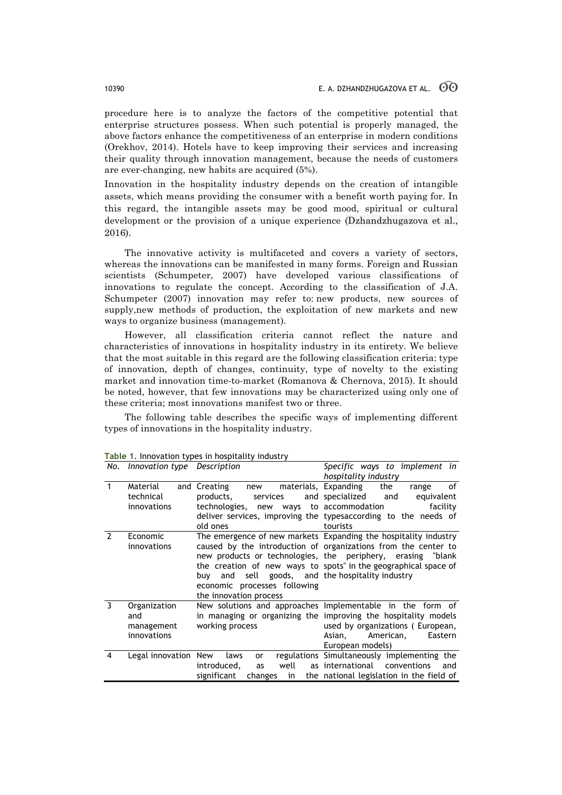procedure here is to analyze the factors of the competitive potential that enterprise structures possess. When such potential is properly managed, the above factors enhance the competitiveness of an enterprise in modern conditions (Orekhov, 2014). Hotels have to keep improving their services and increasing their quality through innovation management, because the needs of customers are ever-changing, new habits are acquired (5%).

Innovation in the hospitality industry depends on the creation of intangible assets, which means providing the consumer with a benefit worth paying for. In this regard, the intangible assets may be good mood, spiritual or cultural development or the provision of a unique experience (Dzhandzhugazova et al., 2016).

The innovative activity is multifaceted and covers a variety of sectors, whereas the innovations can be manifested in many forms. Foreign and Russian scientists (Schumpeter, 2007) have developed various classifications of innovations to regulate the concept. According to the classification of J.A. Schumpeter (2007) innovation may refer to: new products, new sources of supply,new methods of production, the exploitation of new markets and new ways to organize business (management).

However, all classification criteria cannot reflect the nature and characteristics of innovations in hospitality industry in its entirety. We believe that the most suitable in this regard are the following classification criteria: type of innovation, depth of changes, continuity, type of novelty to the existing market and innovation time-to-market (Romanova & Chernova, 2015). It should be noted, however, that few innovations may be characterized using only one of these criteria; most innovations manifest two or three.

The following table describes the specific ways of implementing different types of innovations in the hospitality industry.

|               | No. Innovation type Description                  |                                                                                                            | Specific ways to implement in<br>hospitality industry                                                                                                                                                                                                               |
|---------------|--------------------------------------------------|------------------------------------------------------------------------------------------------------------|---------------------------------------------------------------------------------------------------------------------------------------------------------------------------------------------------------------------------------------------------------------------|
| $\mathbf{1}$  | Material<br>technical<br>innovations             | and Creating<br>new<br>products,<br>services<br>technologies, new ways to accommodation<br>old ones        | materials, Expanding<br>of<br>the<br>range<br>and specialized<br>equivalent<br>and<br>facility<br>deliver services, improving the typesaccording to the needs of<br>tourists                                                                                        |
| $\mathcal{P}$ | Economic<br>innovations                          | buy and sell goods, and the hospitality industry<br>economic processes following<br>the innovation process | The emergence of new markets Expanding the hospitality industry<br>caused by the introduction of organizations from the center to<br>new products or technologies, the periphery, erasing "blank<br>the creation of new ways to spots" in the geographical space of |
| 3             | Organization<br>and<br>management<br>innovations | working process                                                                                            | New solutions and approaches Implementable in the form of<br>in managing or organizing the improving the hospitality models<br>used by organizations (European,<br>American,<br>Asian,<br>Eastern<br>European models)                                               |
| 4             | Legal innovation New                             | laws<br>or<br>introduced,<br>well<br>as<br>significant<br>changes<br>in                                    | regulations Simultaneously implementing the<br>as international conventions<br>and<br>the national legislation in the field of                                                                                                                                      |

**Table 1.** Innovation types in hospitality industry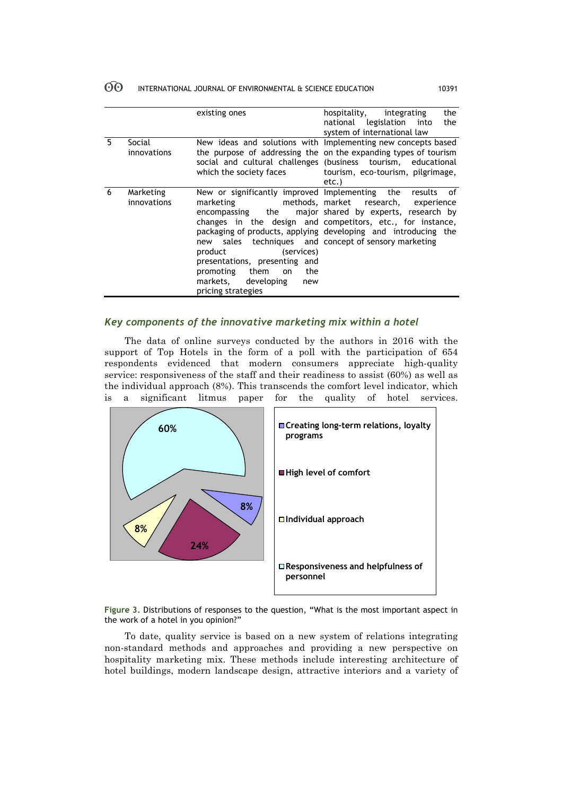|   |                          | existing ones                                                                                                                                                                                                                             | the<br>hospitality,<br>integrating<br>national legislation into<br>the<br>system of international law                                                                                                                                                                     |
|---|--------------------------|-------------------------------------------------------------------------------------------------------------------------------------------------------------------------------------------------------------------------------------------|---------------------------------------------------------------------------------------------------------------------------------------------------------------------------------------------------------------------------------------------------------------------------|
| 5 | Social<br>innovations    | which the society faces                                                                                                                                                                                                                   | New ideas and solutions with Implementing new concepts based<br>the purpose of addressing the on the expanding types of tourism<br>social and cultural challenges (business tourism, educational<br>tourism, eco-tourism, pilgrimage,<br>etc.)                            |
| 6 | Marketing<br>innovations | marketing<br>encompassing the<br>new sales techniques and concept of sensory marketing<br>(services)<br>product<br>presentations, presenting and<br>promoting<br>them<br>the<br>on<br>developing<br>markets.<br>new<br>pricing strategies | New or significantly improved Implementing the results of<br>methods, market research, experience<br>major shared by experts, research by<br>changes in the design and competitors, etc., for instance,<br>packaging of products, applying developing and introducing the |

# *Key components of the innovative marketing mix within a hotel*

The data of online surveys conducted by the authors in 2016 with the support of Top Hotels in the form of a poll with the participation of 654 respondents evidenced that modern consumers appreciate high-quality service: responsiveness of the staff and their readiness to assist (60%) as well as the individual approach (8%). This transcends the comfort level indicator, which is a significant litmus paper for the quality of hotel services.





To date, quality service is based on a new system of relations integrating non-standard methods and approaches and providing a new perspective on hospitality marketing mix. These methods include interesting architecture of hotel buildings, modern landscape design, attractive interiors and a variety of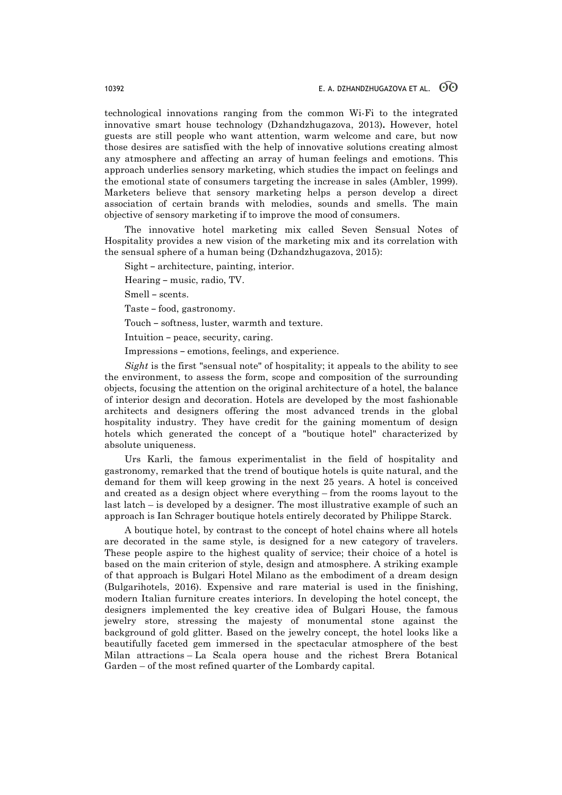technological innovations ranging from the common Wi-Fi to the integrated innovative smart house technology (Dzhandzhugazova, 2013)**.** However, hotel guests are still people who want attention, warm welcome and care, but now those desires are satisfied with the help of innovative solutions creating almost any atmosphere and affecting an array of human feelings and emotions. This approach underlies sensory marketing, which studies the impact on feelings and the emotional state of consumers targeting the increase in sales (Ambler, 1999). Marketers believe that sensory marketing helps a person develop a direct association of certain brands with melodies, sounds and smells. The main objective of sensory marketing if to improve the mood of consumers.

The innovative hotel marketing mix called Seven Sensual Notes of Hospitality provides a new vision of the marketing mix and its correlation with the sensual sphere of a human being (Dzhandzhugazova, 2015):

Sight – architecture, painting, interior.

Hearing – music, radio, TV.

Smell – scents.

Taste – food, gastronomy.

Touch – softness, luster, warmth and texture.

Intuition – peace, security, caring.

Impressions – emotions, feelings, and experience.

*Sight* is the first "sensual note" of hospitality; it appeals to the ability to see the environment, to assess the form, scope and composition of the surrounding objects, focusing the attention on the original architecture of a hotel, the balance of interior design and decoration. Hotels are developed by the most fashionable architects and designers offering the most advanced trends in the global hospitality industry. They have credit for the gaining momentum of design hotels which generated the concept of a "boutique hotel" characterized by absolute uniqueness.

Urs Karli, the famous experimentalist in the field of hospitality and gastronomy, remarked that the trend of boutique hotels is quite natural, and the demand for them will keep growing in the next 25 years. A hotel is conceived and created as a design object where everything – from the rooms layout to the last latch – is developed by a designer. The most illustrative example of such an approach is Ian Schrager boutique hotels entirely decorated by Philippe Starck.

A boutique hotel, by contrast to the concept of hotel chains where all hotels are decorated in the same style, is designed for a new category of travelers. These people aspire to the highest quality of service; their choice of a hotel is based on the main criterion of style, design and atmosphere. A striking example of that approach is Bulgari Hotel Milano as the embodiment of a dream design (Bulgarihotels, 2016). Expensive and rare material is used in the finishing, modern Italian furniture creates interiors. In developing the hotel concept, the designers implemented the key creative idea of Bulgari House, the famous jewelry store, stressing the majesty of monumental stone against the background of gold glitter. Based on the jewelry concept, the hotel looks like a beautifully faceted gem immersed in the spectacular atmosphere of the best Milan attractions – La Scala opera house and the richest Brera Botanical Garden – of the most refined quarter of the Lombardy capital.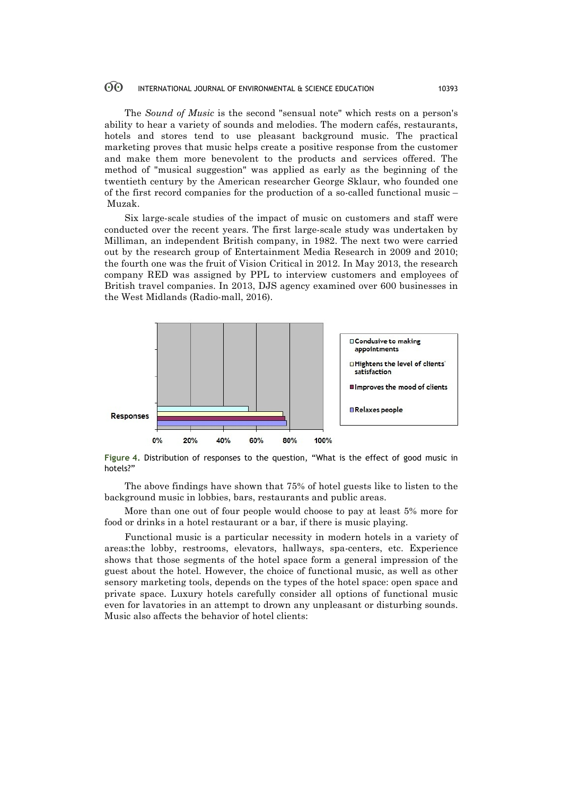The *Sound of Music* is the second "sensual note" which rests on a person's ability to hear a variety of sounds and melodies. The modern cafés, restaurants, hotels and stores tend to use pleasant background music. The practical marketing proves that music helps create a positive response from the customer and make them more benevolent to the products and services offered. The method of "musical suggestion" was applied as early as the beginning of the twentieth century by the American researcher George Sklaur, who founded one of the first record companies for the production of a so-called functional music – Muzak.

Six large-scale studies of the impact of music on customers and staff were conducted over the recent years. The first large-scale study was undertaken by Milliman, an independent British company, in 1982. The next two were carried out by the research group of Entertainment Media Research in 2009 and 2010; the fourth one was the fruit of Vision Critical in 2012. In May 2013, the research company RED was assigned by PPL to interview customers and employees of British travel companies. In 2013, DJS agency examined over 600 businesses in the West Midlands (Radio-mall, 2016).



**Figure 4.** Distribution of responses to the question, "What is the effect of good music in hotels?"

The above findings have shown that 75% of hotel guests like to listen to the background music in lobbies, bars, restaurants and public areas.

More than one out of four people would choose to pay at least 5% more for food or drinks in a hotel restaurant or a bar, if there is music playing.

Functional music is a particular necessity in modern hotels in a variety of areas:the lobby, restrooms, elevators, hallways, spa-centers, etc. Experience shows that those segments of the hotel space form a general impression of the guest about the hotel. However, the choice of functional music, as well as other sensory marketing tools, depends on the types of the hotel space: open space and private space. Luxury hotels carefully consider all options of functional music even for lavatories in an attempt to drown any unpleasant or disturbing sounds. Music also affects the behavior of hotel clients: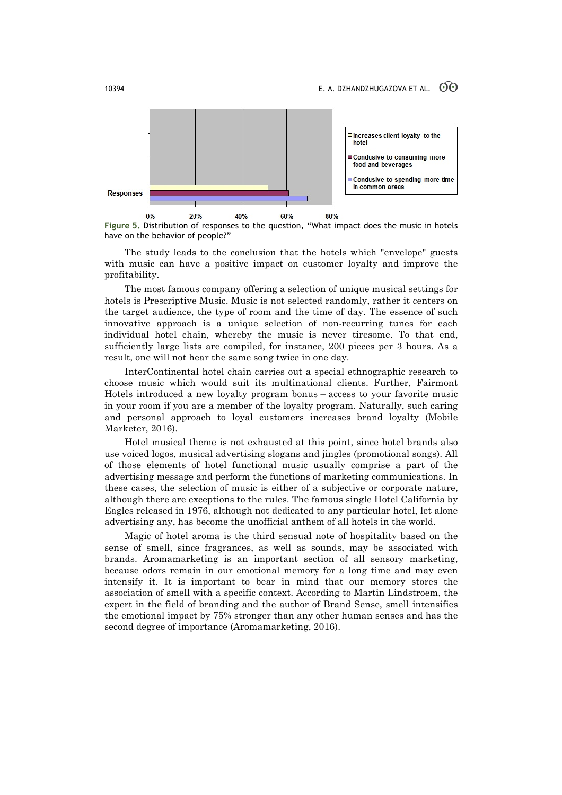

**Figure 5.** Distribution of responses to the question, "What impact does the music in hotels have on the behavior of people?"

The study leads to the conclusion that the hotels which "envelope" guests with music can have a positive impact on customer loyalty and improve the profitability.

The most famous company offering a selection of unique musical settings for hotels is Prescriptive Music. Music is not selected randomly, rather it centers on the target audience, the type of room and the time of day. The essence of such innovative approach is a unique selection of non-recurring tunes for each individual hotel chain, whereby the music is never tiresome. To that end, sufficiently large lists are compiled, for instance, 200 pieces per 3 hours. As a result, one will not hear the same song twice in one day.

InterContinental hotel chain carries out a special ethnographic research to choose music which would suit its multinational clients. Further, Fairmont Hotels introduced a new loyalty program bonus – access to your favorite music in your room if you are a member of the loyalty program. Naturally, such caring and personal approach to loyal customers increases brand loyalty (Mobile Marketer, 2016).

Hotel musical theme is not exhausted at this point, since hotel brands also use voiced logos, musical advertising slogans and jingles (promotional songs). All of those elements of hotel functional music usually comprise a part of the advertising message and perform the functions of marketing communications. In these cases, the selection of music is either of a subjective or corporate nature, although there are exceptions to the rules. The famous single Hotel California by Eagles released in 1976, although not dedicated to any particular hotel, let alone advertising any, has become the unofficial anthem of all hotels in the world.

Magic of hotel aroma is the third sensual note of hospitality based on the sense of smell, since fragrances, as well as sounds, may be associated with brands. Aromamarketing is an important section of all sensory marketing, because odors remain in our emotional memory for a long time and may even intensify it. It is important to bear in mind that our memory stores the association of smell with a specific context. According to Martin Lindstroem, the expert in the field of branding and the author of Brand Sense, smell intensifies the emotional impact by 75% stronger than any other human senses and has the second degree of importance (Aromamarketing, 2016).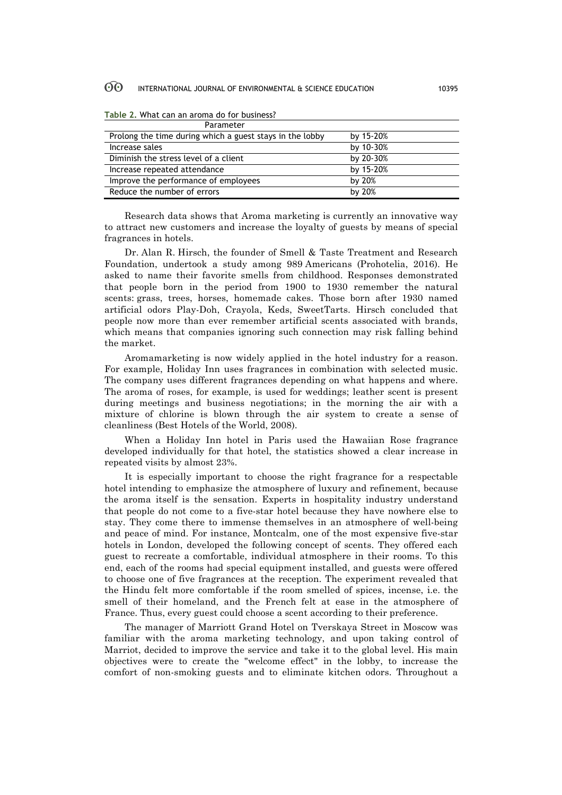| Parameter                                                |           |
|----------------------------------------------------------|-----------|
| Prolong the time during which a guest stays in the lobby | by 15-20% |
| Increase sales                                           | by 10-30% |
| Diminish the stress level of a client                    | by 20-30% |
| Increase repeated attendance                             | by 15-20% |
| Improve the performance of employees                     | by 20%    |
| Reduce the number of errors                              | by $20%$  |

**Table 2.** What can an aroma do for business?

Research data shows that Aroma marketing is currently an innovative way to attract new customers and increase the loyalty of guests by means of special fragrances in hotels.

Dr. Alan R. Hirsch, the founder of Smell & Taste Treatment and Research Foundation, undertook a study among 989 Americans (Prohotelia, 2016). He asked to name their favorite smells from childhood. Responses demonstrated that people born in the period from 1900 to 1930 remember the natural scents: grass, trees, horses, homemade cakes. Those born after 1930 named artificial odors Play-Doh, Crayola, Keds, SweetTarts. Hirsch concluded that people now more than ever remember artificial scents associated with brands, which means that companies ignoring such connection may risk falling behind the market.

Aromamarketing is now widely applied in the hotel industry for a reason. For example, Holiday Inn uses fragrances in combination with selected music. The company uses different fragrances depending on what happens and where. The aroma of roses, for example, is used for weddings; leather scent is present during meetings and business negotiations; in the morning the air with a mixture of chlorine is blown through the air system to create a sense of cleanliness (Best Hotels of the World, 2008).

When a Holiday Inn hotel in Paris used the Hawaiian Rose fragrance developed individually for that hotel, the statistics showed a clear increase in repeated visits by almost 23%.

It is especially important to choose the right fragrance for a respectable hotel intending to emphasize the atmosphere of luxury and refinement, because the aroma itself is the sensation. Experts in hospitality industry understand that people do not come to a five-star hotel because they have nowhere else to stay. They come there to immense themselves in an atmosphere of well-being and peace of mind. For instance, Montcalm, one of the most expensive five-star hotels in London, developed the following concept of scents. They offered each guest to recreate a comfortable, individual atmosphere in their rooms. To this end, each of the rooms had special equipment installed, and guests were offered to choose one of five fragrances at the reception. The experiment revealed that the Hindu felt more comfortable if the room smelled of spices, incense, i.e. the smell of their homeland, and the French felt at ease in the atmosphere of France. Thus, every guest could choose a scent according to their preference.

The manager of Marriott Grand Hotel on Tverskaya Street in Moscow was familiar with the aroma marketing technology, and upon taking control of Marriot, decided to improve the service and take it to the global level. His main objectives were to create the "welcome effect" in the lobby, to increase the comfort of non-smoking guests and to eliminate kitchen odors. Throughout a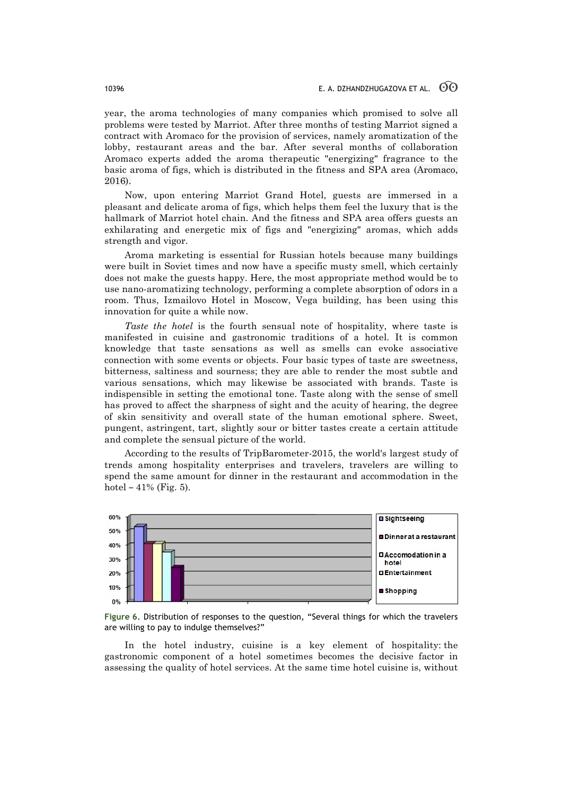year, the aroma technologies of many companies which promised to solve all problems were tested by Marriot. After three months of testing Marriot signed a contract with Aromaco for the provision of services, namely aromatization of the lobby, restaurant areas and the bar. After several months of collaboration Aromaco experts added the aroma therapeutic "energizing" fragrance to the basic aroma of figs, which is distributed in the fitness and SPA area (Aromaco, 2016).

Now, upon entering Marriot Grand Hotel, guests are immersed in a pleasant and delicate aroma of figs, which helps them feel the luxury that is the hallmark of Marriot hotel chain. And the fitness and SPA area offers guests an exhilarating and energetic mix of figs and "energizing" aromas, which adds strength and vigor.

Aroma marketing is essential for Russian hotels because many buildings were built in Soviet times and now have a specific musty smell, which certainly does not make the guests happy. Here, the most appropriate method would be to use nano-aromatizing technology, performing a complete absorption of odors in a room. Thus, Izmailovo Hotel in Moscow, Vega building, has been using this innovation for quite a while now.

*Taste the hotel* is the fourth sensual note of hospitality, where taste is manifested in cuisine and gastronomic traditions of a hotel. It is common knowledge that taste sensations as well as smells can evoke associative connection with some events or objects. Four basic types of taste are sweetness, bitterness, saltiness and sourness; they are able to render the most subtle and various sensations, which may likewise be associated with brands. Taste is indispensible in setting the emotional tone. Taste along with the sense of smell has proved to affect the sharpness of sight and the acuity of hearing, the degree of skin sensitivity and overall state of the human emotional sphere. Sweet, pungent, astringent, tart, slightly sour or bitter tastes create a certain attitude and complete the sensual picture of the world.

According to the results of TripBarometer-2015, the world's largest study of trends among hospitality enterprises and travelers, travelers are willing to spend the same amount for dinner in the restaurant and accommodation in the hotel –  $41\%$  (Fig. 5).





In the hotel industry, cuisine is a key element of hospitality: the gastronomic component of a hotel sometimes becomes the decisive factor in assessing the quality of hotel services. At the same time hotel cuisine is, without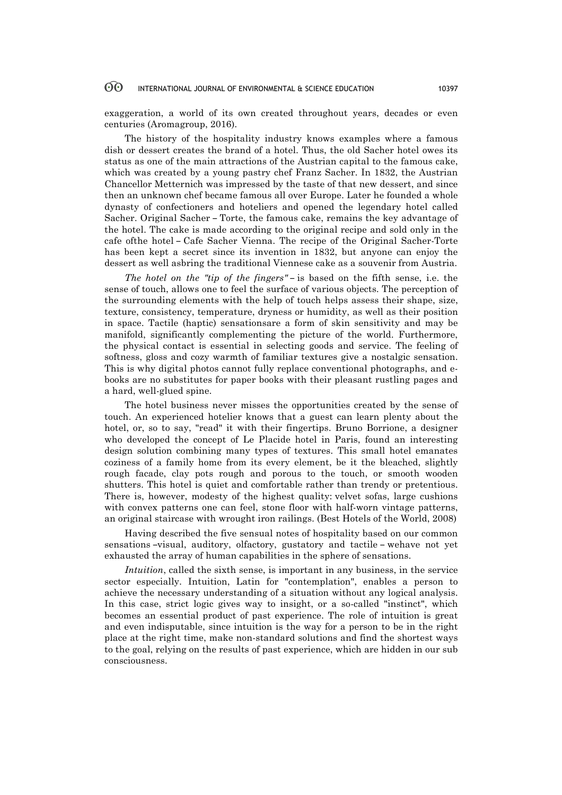exaggeration, a world of its own created throughout years, decades or even centuries (Aromagroup, 2016).

The history of the hospitality industry knows examples where a famous dish or dessert creates the brand of a hotel. Thus, the old Sacher hotel owes its status as one of the main attractions of the Austrian capital to the famous cake, which was created by a young pastry chef Franz Sacher. In 1832, the Austrian Chancellor Metternich was impressed by the taste of that new dessert, and since then an unknown chef became famous all over Europe. Later he founded a whole dynasty of confectioners and hoteliers and opened the legendary hotel called Sacher. Original Sacher – Torte, the famous cake, remains the key advantage of the hotel. The cake is made according to the original recipe and sold only in the cafe ofthe hotel – Cafe Sacher Vienna. The recipe of the Original Sacher-Torte has been kept a secret since its invention in 1832, but anyone can enjoy the dessert as well asbring the traditional Viennese cake as a souvenir from Austria.

*The hotel on the "tip of the fingers"* – is based on the fifth sense, i.e. the sense of touch, allows one to feel the surface of various objects. The perception of the surrounding elements with the help of touch helps assess their shape, size, texture, consistency, temperature, dryness or humidity, as well as their position in space. Tactile (haptic) sensationsare a form of skin sensitivity and may be manifold, significantly complementing the picture of the world. Furthermore, the physical contact is essential in selecting goods and service. The feeling of softness, gloss and cozy warmth of familiar textures give a nostalgic sensation. This is why digital photos cannot fully replace conventional photographs, and ebooks are no substitutes for paper books with their pleasant rustling pages and a hard, well-glued spine.

The hotel business never misses the opportunities created by the sense of touch. An experienced hotelier knows that a guest can learn plenty about the hotel, or, so to say, "read" it with their fingertips. Bruno Borrione, a designer who developed the concept of Le Placide hotel in Paris, found an interesting design solution combining many types of textures. This small hotel emanates coziness of a family home from its every element, be it the bleached, slightly rough facade, clay pots rough and porous to the touch, or smooth wooden shutters. This hotel is quiet and comfortable rather than trendy or pretentious. There is, however, modesty of the highest quality: velvet sofas, large cushions with convex patterns one can feel, stone floor with half-worn vintage patterns, an original staircase with wrought iron railings. (Best Hotels of the World, 2008)

Having described the five sensual notes of hospitality based on our common sensations –visual, auditory, olfactory, gustatory and tactile – wehave not yet exhausted the array of human capabilities in the sphere of sensations.

*Intuition*, called the sixth sense, is important in any business, in the service sector especially. Intuition, Latin for "contemplation", enables a person to achieve the necessary understanding of a situation without any logical analysis. In this case, strict logic gives way to insight, or a so-called "instinct", which becomes an essential product of past experience. The role of intuition is great and even indisputable, since intuition is the way for a person to be in the right place at the right time, make non-standard solutions and find the shortest ways to the goal, relying on the results of past experience, which are hidden in our sub consciousness.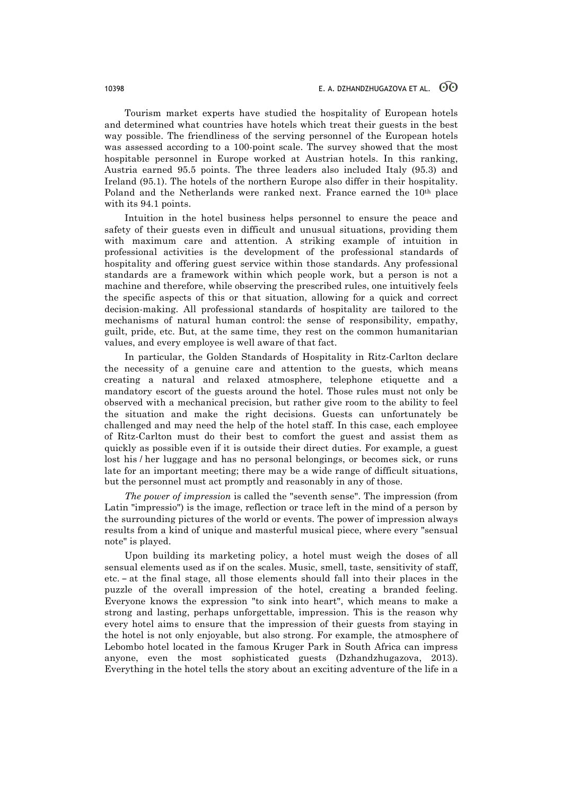Tourism market experts have studied the hospitality of European hotels and determined what countries have hotels which treat their guests in the best way possible. The friendliness of the serving personnel of the European hotels was assessed according to a 100-point scale. The survey showed that the most hospitable personnel in Europe worked at Austrian hotels. In this ranking, Austria earned 95.5 points. The three leaders also included Italy (95.3) and Ireland (95.1). The hotels of the northern Europe also differ in their hospitality. Poland and the Netherlands were ranked next. France earned the 10th place with its 94.1 points.

Intuition in the hotel business helps personnel to ensure the peace and safety of their guests even in difficult and unusual situations, providing them with maximum care and attention. A striking example of intuition in professional activities is the development of the professional standards of hospitality and offering guest service within those standards. Any professional standards are a framework within which people work, but a person is not a machine and therefore, while observing the prescribed rules, one intuitively feels the specific aspects of this or that situation, allowing for a quick and correct decision-making. All professional standards of hospitality are tailored to the mechanisms of natural human control: the sense of responsibility, empathy, guilt, pride, etc. But, at the same time, they rest on the common humanitarian values, and every employee is well aware of that fact.

In particular, the Golden Standards of Hospitality in Ritz-Carlton declare the necessity of a genuine care and attention to the guests, which means creating a natural and relaxed atmosphere, telephone etiquette and a mandatory escort of the guests around the hotel. Those rules must not only be observed with a mechanical precision, but rather give room to the ability to feel the situation and make the right decisions. Guests can unfortunately be challenged and may need the help of the hotel staff. In this case, each employee of Ritz-Carlton must do their best to comfort the guest and assist them as quickly as possible even if it is outside their direct duties. For example, a guest lost his / her luggage and has no personal belongings, or becomes sick, or runs late for an important meeting; there may be a wide range of difficult situations, but the personnel must act promptly and reasonably in any of those.

*The power of impression* is called the "seventh sense". The impression (from Latin "impressio") is the image, reflection or trace left in the mind of a person by the surrounding pictures of the world or events. The power of impression always results from a kind of unique and masterful musical piece, where every "sensual note" is played.

Upon building its marketing policy, a hotel must weigh the doses of all sensual elements used as if on the scales. Music, smell, taste, sensitivity of staff, etc. – at the final stage, all those elements should fall into their places in the puzzle of the overall impression of the hotel, creating a branded feeling. Everyone knows the expression "to sink into heart", which means to make a strong and lasting, perhaps unforgettable, impression. This is the reason why every hotel aims to ensure that the impression of their guests from staying in the hotel is not only enjoyable, but also strong. For example, the atmosphere of Lebombo hotel located in the famous Kruger Park in South Africa can impress anyone, even the most sophisticated guests (Dzhandzhugazova, 2013). Everything in the hotel tells the story about an exciting adventure of the life in a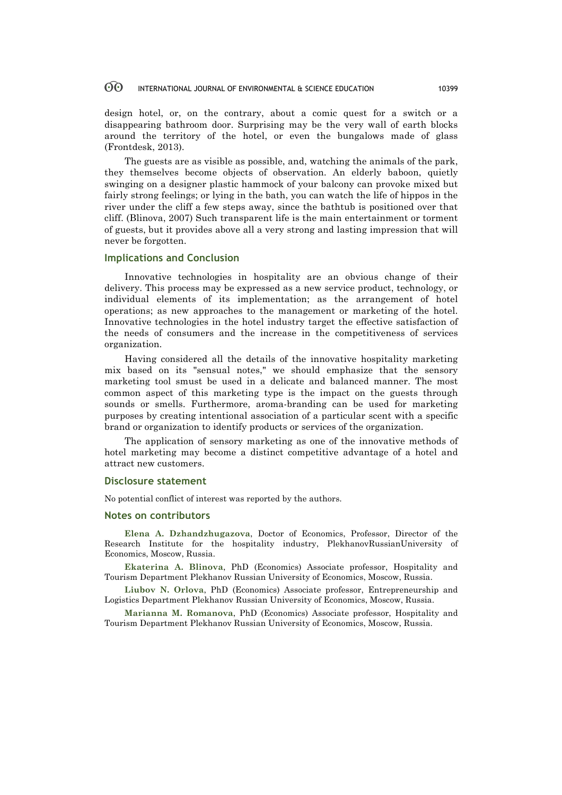design hotel, or, on the contrary, about a comic quest for a switch or a disappearing bathroom door. Surprising may be the very wall of earth blocks around the territory of the hotel, or even the bungalows made of glass (Frontdesk, 2013).

The guests are as visible as possible, and, watching the animals of the park, they themselves become objects of observation. An elderly baboon, quietly swinging on a designer plastic hammock of your balcony can provoke mixed but fairly strong feelings; or lying in the bath, you can watch the life of hippos in the river under the cliff a few steps away, since the bathtub is positioned over that cliff. (Blinovа, 2007) Such transparent life is the main entertainment or torment of guests, but it provides above all a very strong and lasting impression that will never be forgotten.

### **Implications and Conclusion**

Innovative technologies in hospitality are an obvious change of their delivery. This process may be expressed as a new service product, technology, or individual elements of its implementation; as the arrangement of hotel operations; as new approaches to the management or marketing of the hotel. Innovative technologies in the hotel industry target the effective satisfaction of the needs of consumers and the increase in the competitiveness of services organization.

Having considered all the details of the innovative hospitality marketing mix based on its "sensual notes," we should emphasize that the sensory marketing tool smust be used in a delicate and balanced manner. The most common aspect of this marketing type is the impact on the guests through sounds or smells. Furthermore, aroma-branding can be used for marketing purposes by creating intentional association of a particular scent with a specific brand or organization to identify products or services of the organization.

The application of sensory marketing as one of the innovative methods of hotel marketing may become a distinct competitive advantage of a hotel and attract new customers.

### **Disclosure statement**

No potential conflict of interest was reported by the authors.

### **Notes on contributors**

**Elena A. Dzhandzhugazova**, Doctor of Economics, Professor, Director of the Research Institute for the hospitality industry, PlekhanovRussianUniversity of Economics, Moscow, Russia.

**Ekaterina A. Blinova**, PhD (Economics) Associate professor, Hospitality and Tourism Department Plekhanov Russian University of Economics, Moscow, Russia.

**Liubov N. Orlova**, PhD (Economics) Associate professor, Entrepreneurship and Logistics Department Plekhanov Russian University of Economics, Moscow, Russia.

**Marianna M. Romanova**, PhD (Economics) Associate professor, Hospitality and Tourism Department Plekhanov Russian University of Economics, Moscow, Russia.